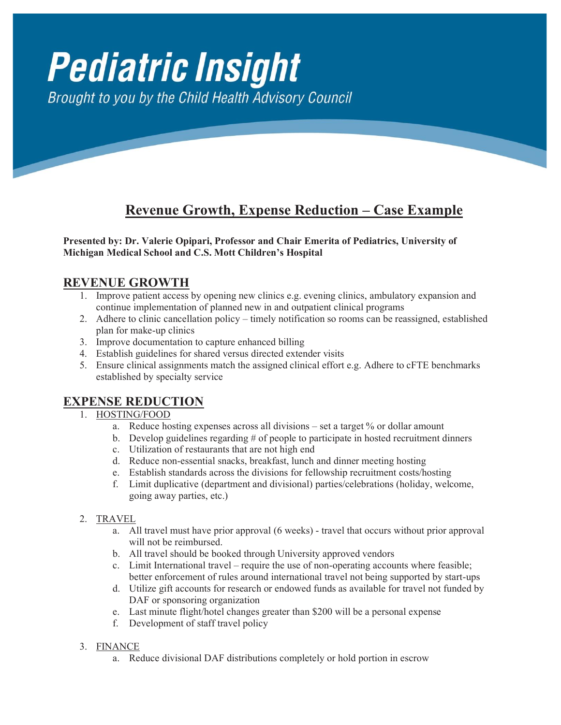# **Pediatric Insight** Brought to you by the Child Health Advisory Council

## **Revenue Growth, Expense Reduction – Case Example**

**Presented by: Dr. Valerie Opipari, Professor and Chair Emerita of Pediatrics, University of Introduction Michigan Medical School and C.S. Mott Children's Hospital**

### Financial challenges impacting departments of pediatrics in academic medical centers or **REVENUE GROWTH**

- 1. Improve patient access by opening new clinics e.g. evening clinics, ambulatory expansion and continue implementation of planned new in and outpatient clinical programs
- 2. Adhere to clinic cancellation policy timely notification so rooms can be reassigned, established  $\frac{1}{2}$  plan for make-up clinics
- 3. Improve documentation to capture enhanced billing
- 4. Establish guidelines for shared versus directed extender visits
- 5. Ensure clinical assignments match the assigned clinical effort e.g. Adhere to cFTE benchmarks established by specialty service  $\frac{1}{\sqrt{1}}$

## $$

## more and the development of highly support that would support the development of highly specialized clinical contract of highly specialized clinical contract of highly specialized clinical contract of highly specialized cl

- $\frac{1.6311807600}{a}$ . Reduce hosting expenses across all divisions set a target % or dollar amount
- final bubble that supposes across an urisions  $\sim$  substantial growth and complement of  $\sim$  Negative and  $\sim$  Negative and  $\sim$  Negative and  $\sim$  Negative and  $\sim$  Negative and  $\sim$  Negative and  $\sim$  Negative and  $\sim$  Ne b. Develop guidelines regarding # of people to participate in hosted recruitment dinners
	- c. Utilization of restaurants that are not high end
- e. Consequence of restaurants that are not ingited claim denials.<br>d. Reduce non-essential snacks, breakfast, lunch and dinner meeting hosting
- e. Establish standards across the divisions for fellowship recruitment costs/hosting e.
- $\mathcal{L}$ . Examples in health care set of the continuous costs (3). The continuous costs (3). The costs (3). The costs (3). The costs (3). The costs (3). The costs (3). The costs (3). The costs (3). The costs of  $\mathcal{L}$  i f. Limit duplicative (department and divisional) parties/celebrations (holiday, welcome, going away parties,  $\mathfrak{c}(\mathfrak{c},t)$ going away parties, etc.)

#### 2. TRAVEL

- 2. **FINATE**<br>
a. All travel must have prior approval (6 weeks) travel that occurs without prior approval will not be reimbursed.
- with not be remodified.<br>b. All travel should be booked through University approved vendors
- form a financial funds for the clinical area. Figure 1 for the AMC (4) details some the AMC (4) details solve the AMC (4) details solve the use of non-operating accounts where feasible; externational revenue of total revenue of the last of hon-operating accounts where reasone,<br>better enforcement of rules around international travel not being supported by start-ups
- d. Utilize gift accounts for research or endowed funds as available for travel not funded by a. Unitze gift accounts for research of<br>DAF or sponsoring organization
- e. Last minute flight/hotel changes greater than \$200 will be a personal expense
- f. Development of staff travel policy

#### 3. FINANCE

a. Reduce divisional DAF distributions completely or hold portion in escrow